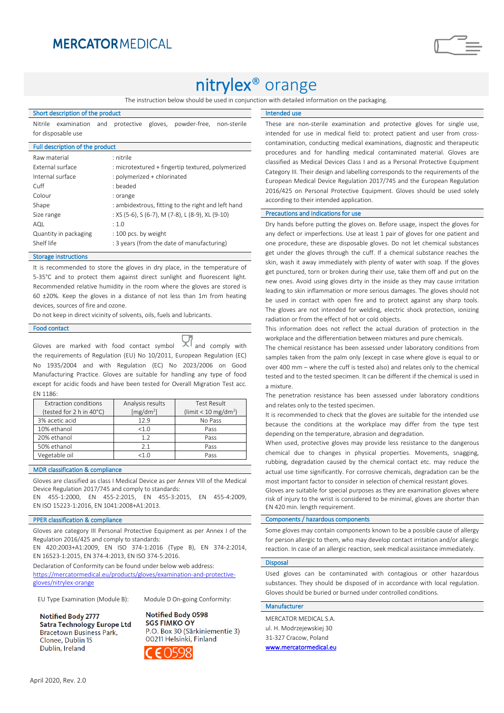## **MERCATOR MEDICAL**

# nitrylex® orange

The instruction below should be used in conjunction with detailed information on the packaging.

### Short description of the product

Nitrile examination and protective gloves, powder-free, non-sterile for disposable use

| Full description of the product |                                                    |  |  |  |  |  |
|---------------------------------|----------------------------------------------------|--|--|--|--|--|
| Raw material                    | : nitrile                                          |  |  |  |  |  |
| External surface                | : microtextured + fingertip textured, polymerized  |  |  |  |  |  |
| Internal surface                | : polymerized + chlorinated                        |  |  |  |  |  |
| Cuff                            | $\cdot$ beaded                                     |  |  |  |  |  |
| Colour                          | : orange                                           |  |  |  |  |  |
| Shape                           | : ambidextrous, fitting to the right and left hand |  |  |  |  |  |
| Size range                      | : XS (5-6), S (6-7), M (7-8), L (8-9), XL (9-10)   |  |  |  |  |  |
| AQL                             | : 1.0                                              |  |  |  |  |  |
| Quantity in packaging           | : 100 pcs. by weight                               |  |  |  |  |  |
| Shelf life                      | : 3 years (from the date of manufacturing)         |  |  |  |  |  |
|                                 |                                                    |  |  |  |  |  |

#### Storage instructions

It is recommended to store the gloves in dry place, in the temperature of 5-35°C and to protect them against direct sunlight and fluorescent light. Recommended relative humidity in the room where the gloves are stored is 60 ±20%. Keep the gloves in a distance of not less than 1m from heating devices, sources of fire and ozone.

Do not keep in direct vicinity of solvents, oils, fuels and lubricants.

## Food contact

Gloves are marked with food contact symbol  $\mathbf{X}$  and comply with the requirements of Regulation (EU) No 10/2011, European Regulation (EC) No 1935/2004 and with Regulation (EC) No 2023/2006 on Good Manufacturing Practice. Gloves are suitable for handling any type of food except for acidic foods and have been tested for Overall Migration Test acc. EN 1186:

| Extraction conditions    | Analysis results      | <b>Test Result</b>                 |  |  |
|--------------------------|-----------------------|------------------------------------|--|--|
| (tested for 2 h in 40°C) | [mg/dm <sup>2</sup> ] | (limit $< 10$ mg/dm <sup>2</sup> ) |  |  |
| 3% acetic acid           | 129                   | No Pass                            |  |  |
| 10% ethanol              | $<1$ $\Omega$         | Pass                               |  |  |
| 20% ethanol              | 12                    | Pass                               |  |  |
| 50% ethanol              | 2.1                   | Pass                               |  |  |
| Vegetable oil            | <1 በ                  | Pass                               |  |  |

## MDR classification & compliance

Gloves are classified as class I Medical Device as per Annex VIII of the Medical Device Regulation 2017/745 and comply to standards:

EN 455-1:2000, EN 455-2:2015, EN 455-3:2015, EN 455-4:2009, EN ISO 15223-1:2016, EN 1041:2008+A1:2013.

## PPER classification & compliance

Gloves are category III Personal Protective Equipment as per Annex I of the Regulation 2016/425 and comply to standards:

EN 420:2003+A1:2009, EN ISO 374-1:2016 (Type B), EN 374-2:2014, EN 16523-1:2015, EN 374-4:2013, EN ISO 374-5:2016.

Declaration of Conformity can be found under below web address: [https://mercatormedical.eu/products/gloves/examination-and-protective](https://mercatormedical.eu/products/gloves/examination-and-protective-gloves/nitrylex-orange)[gloves/nitrylex-orange](https://mercatormedical.eu/products/gloves/examination-and-protective-gloves/nitrylex-orange)

EU Type Examination (Module B): Module D On-going Conformity:

Notified Body 2777 **Satra Technology Europe Ltd Bracetown Business Park,** Clonee, Dublin 15 Dublin, Ireland

Notified Body 0598 **SGS FIMKO OY** P.O. Box 30 (Särkiniementie 3) 00211 Helsinki, Finland



Intended use

These are non-sterile examination and protective gloves for single use, intended for use in medical field to: protect patient and user from crosscontamination, conducting medical examinations, diagnostic and therapeutic procedures and for handling medical contaminated material. Gloves are classified as Medical Devices Class I and as a Personal Protective Equipment Category III. Their design and labelling corresponds to the requirements of the European Medical Device Regulation 2017/745 and the European Regulation 2016/425 on Personal Protective Equipment. Gloves should be used solely according to their intended application.

## Precautions and indications for use

Dry hands before putting the gloves on. Before usage, inspect the gloves for any defect or imperfections. Use at least 1 pair of gloves for one patient and one procedure, these are disposable gloves. Do not let chemical substances get under the gloves through the cuff. If a chemical substance reaches the skin, wash it away immediately with plenty of water with soap. If the gloves get punctured, torn or broken during their use, take them off and put on the new ones. Avoid using gloves dirty in the inside as they may cause irritation leading to skin inflammation or more serious damages. The gloves should not be used in contact with open fire and to protect against any sharp tools. The gloves are not intended for welding, electric shock protection, ionizing radiation or from the effect of hot or cold objects.

This information does not reflect the actual duration of protection in the workplace and the differentiation between mixtures and pure chemicals.

The chemical resistance has been assessed under laboratory conditions from samples taken from the palm only (except in case where glove is equal to or over 400 mm – where the cuff is tested also) and relates only to the chemical tested and to the tested specimen. It can be different if the chemical is used in a mixture.

The penetration resistance has been assessed under laboratory conditions and relates only to the tested specimen.

It is recommended to check that the gloves are suitable for the intended use because the conditions at the workplace may differ from the type test depending on the temperature, abrasion and degradation.

When used, protective gloves may provide less resistance to the dangerous chemical due to changes in physical properties. Movements, snagging, rubbing, degradation caused by the chemical contact etc. may reduce the actual use time significantly. For corrosive chemicals, degradation can be the most important factor to consider in selection of chemical resistant gloves.

Gloves are suitable for special purposes as they are examination gloves where risk of injury to the wrist is considered to be minimal, gloves are shorter than EN 420 min. length requirement.

### Components / hazardous components

Some gloves may contain components known to be a possible cause of allergy for person allergic to them, who may develop contact irritation and/or allergic reaction. In case of an allergic reaction, seek medical assistance immediately.

## Disposal

Used gloves can be contaminated with contagious or other hazardous substances. They should be disposed of in accordance with local regulation. Gloves should be buried or burned under controlled conditions.

## Manufacturer

MERCATOR MEDICAL S.A. ul. H. Modrzejewskiej 30 31-327 Cracow, Poland [www.mercatormedical.eu](http://www.mercatormedical.eu/)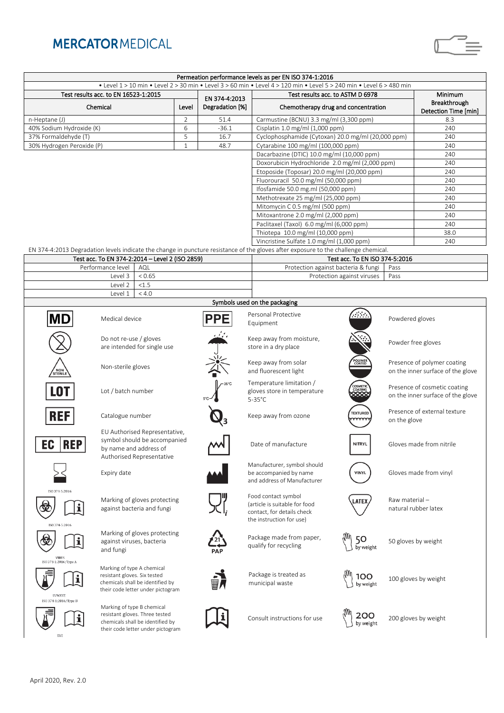## **MERCATORMEDICAL**



| Permeation performance levels as per EN ISO 374-1:2016                                                               |                                                                                                                      |                                                                                                         |                |                                                        |                                                                                                                                     |                                                 |                                                                   |                          |  |  |  |
|----------------------------------------------------------------------------------------------------------------------|----------------------------------------------------------------------------------------------------------------------|---------------------------------------------------------------------------------------------------------|----------------|--------------------------------------------------------|-------------------------------------------------------------------------------------------------------------------------------------|-------------------------------------------------|-------------------------------------------------------------------|--------------------------|--|--|--|
| • Level 1 > 10 min • Level 2 > 30 min • Level 3 > 60 min • Level 4 > 120 min • Level 5 > 240 min • Level 6 > 480 min |                                                                                                                      |                                                                                                         |                |                                                        |                                                                                                                                     |                                                 |                                                                   |                          |  |  |  |
| Test results acc. to EN 16523-1:2015                                                                                 |                                                                                                                      |                                                                                                         | EN 374-4:2013  |                                                        | Test results acc. to ASTM D 6978                                                                                                    |                                                 |                                                                   | Minimum                  |  |  |  |
| Chemical                                                                                                             |                                                                                                                      |                                                                                                         | Level          | Degradation [%]<br>Chemotherapy drug and concentration |                                                                                                                                     |                                                 | Breakthrough<br>Detection Time [min]                              |                          |  |  |  |
| n-Heptane (J)                                                                                                        |                                                                                                                      |                                                                                                         | $\overline{2}$ | 51.4                                                   | Carmustine (BCNU) 3.3 mg/ml (3,300 ppm)                                                                                             |                                                 |                                                                   | 8.3                      |  |  |  |
| 40% Sodium Hydroxide (K)                                                                                             |                                                                                                                      |                                                                                                         | 6              | $-36.1$                                                | Cisplatin 1.0 mg/ml (1,000 ppm)                                                                                                     |                                                 |                                                                   | 240                      |  |  |  |
| 37% Formaldehyde (T)                                                                                                 |                                                                                                                      |                                                                                                         | 5              | 16.7                                                   | Cyclophosphamide (Cytoxan) 20.0 mg/ml (20,000 ppm)                                                                                  |                                                 |                                                                   | 240                      |  |  |  |
| 30% Hydrogen Peroxide (P)                                                                                            |                                                                                                                      |                                                                                                         | $\mathbf{1}$   | 48.7                                                   |                                                                                                                                     | Cytarabine 100 mg/ml (100,000 ppm)              |                                                                   | 240                      |  |  |  |
|                                                                                                                      |                                                                                                                      |                                                                                                         |                |                                                        | Dacarbazine (DTIC) 10.0 mg/ml (10,000 ppm)                                                                                          |                                                 |                                                                   | 240                      |  |  |  |
|                                                                                                                      |                                                                                                                      |                                                                                                         |                |                                                        |                                                                                                                                     | Doxorubicin Hydrochloride 2.0 mg/ml (2,000 ppm) |                                                                   | 240                      |  |  |  |
|                                                                                                                      |                                                                                                                      |                                                                                                         |                |                                                        | Etoposide (Toposar) 20.0 mg/ml (20,000 ppm)                                                                                         |                                                 | 240                                                               |                          |  |  |  |
|                                                                                                                      |                                                                                                                      |                                                                                                         |                |                                                        |                                                                                                                                     | Fluorouracil 50.0 mg/ml (50,000 ppm)            |                                                                   | 240                      |  |  |  |
|                                                                                                                      |                                                                                                                      |                                                                                                         |                |                                                        |                                                                                                                                     | Ifosfamide 50.0 mg.ml (50,000 ppm)              |                                                                   | 240                      |  |  |  |
|                                                                                                                      |                                                                                                                      |                                                                                                         |                |                                                        | Methotrexate 25 mg/ml (25,000 ppm)                                                                                                  |                                                 |                                                                   | 240                      |  |  |  |
|                                                                                                                      |                                                                                                                      |                                                                                                         |                |                                                        | Mitomycin C 0.5 mg/ml (500 ppm)                                                                                                     |                                                 |                                                                   | 240                      |  |  |  |
|                                                                                                                      |                                                                                                                      |                                                                                                         |                |                                                        | Mitoxantrone 2.0 mg/ml (2,000 ppm)                                                                                                  |                                                 |                                                                   | 240                      |  |  |  |
|                                                                                                                      |                                                                                                                      |                                                                                                         |                |                                                        | Paclitaxel (Taxol) 6.0 mg/ml (6,000 ppm)                                                                                            |                                                 |                                                                   | 240                      |  |  |  |
|                                                                                                                      |                                                                                                                      |                                                                                                         |                |                                                        | Thiotepa 10.0 mg/ml (10,000 ppm)                                                                                                    |                                                 |                                                                   | 38.0                     |  |  |  |
|                                                                                                                      |                                                                                                                      |                                                                                                         |                |                                                        | Vincristine Sulfate 1.0 mg/ml (1,000 ppm)                                                                                           |                                                 |                                                                   | 240                      |  |  |  |
|                                                                                                                      |                                                                                                                      |                                                                                                         |                |                                                        | EN 374-4:2013 Degradation levels indicate the change in puncture resistance of the gloves after exposure to the challenge chemical. |                                                 |                                                                   |                          |  |  |  |
|                                                                                                                      | Test acc. To EN 374-2:2014 - Level 2 (ISO 2859)                                                                      |                                                                                                         |                |                                                        | Test acc. To EN ISO 374-5:2016                                                                                                      |                                                 |                                                                   |                          |  |  |  |
|                                                                                                                      | Performance level                                                                                                    | AQL                                                                                                     |                |                                                        | Protection against bacteria & fungi                                                                                                 |                                                 | Pass                                                              |                          |  |  |  |
|                                                                                                                      | Level 3                                                                                                              | < 0.65                                                                                                  |                |                                                        |                                                                                                                                     | Protection against viruses                      | Pass                                                              |                          |  |  |  |
|                                                                                                                      | Level 2                                                                                                              | < 1.5                                                                                                   |                |                                                        |                                                                                                                                     |                                                 |                                                                   |                          |  |  |  |
|                                                                                                                      | Level 1                                                                                                              | < 4.0                                                                                                   |                |                                                        |                                                                                                                                     |                                                 |                                                                   |                          |  |  |  |
|                                                                                                                      |                                                                                                                      |                                                                                                         |                |                                                        | Symbols used on the packaging                                                                                                       |                                                 |                                                                   |                          |  |  |  |
|                                                                                                                      | Medical device                                                                                                       |                                                                                                         |                | PPE                                                    | Personal Protective<br>Equipment                                                                                                    |                                                 | Powdered gloves                                                   |                          |  |  |  |
|                                                                                                                      | Do not re-use / gloves<br>are intended for single use                                                                |                                                                                                         |                |                                                        | Keep away from moisture,<br>store in a dry place                                                                                    |                                                 |                                                                   | Powder free gloves       |  |  |  |
| NON                                                                                                                  | Non-sterile gloves                                                                                                   |                                                                                                         |                |                                                        | Keep away from solar<br>and fluorescent light                                                                                       | POLYMER<br>COATED                               | Presence of polymer coating<br>on the inner surface of the glove  |                          |  |  |  |
| <b>LOT</b>                                                                                                           | Lot / batch number                                                                                                   |                                                                                                         |                |                                                        | Temperature limitation /<br>gloves store in temperature<br>$5-35^{\circ}$ C                                                         | COSMETIC                                        | Presence of cosmetic coating<br>on the inner surface of the glove |                          |  |  |  |
| REF                                                                                                                  | Catalogue number                                                                                                     |                                                                                                         |                |                                                        | Keep away from ozone                                                                                                                | <b><i>TEXTURED</i></b><br>mm                    | Presence of external texture<br>on the glove                      |                          |  |  |  |
| EC<br><b>REP</b>                                                                                                     | EU Authorised Representative,<br>symbol should be accompanied<br>by name and address of<br>Authorised Representative |                                                                                                         |                |                                                        | Date of manufacture                                                                                                                 | <b>NITRYL</b>                                   |                                                                   | Gloves made from nitrile |  |  |  |
|                                                                                                                      | Expiry date                                                                                                          |                                                                                                         |                |                                                        | Manufacturer, symbol should<br>be accompanied by name<br>and address of Manufacturer                                                | <b>VINYL</b>                                    | Gloves made from vinyl                                            |                          |  |  |  |
| ISO 374-5:2016<br>ISO 374-5:2016                                                                                     |                                                                                                                      | Marking of gloves protecting<br>against bacteria and fungi                                              |                |                                                        | Food contact symbol<br>(article is suitable for food<br>contact, for details check<br>the instruction for use)                      | <b>LATE)</b>                                    | Raw material-<br>natural rubber latex                             |                          |  |  |  |
| VIRUS                                                                                                                | against viruses, bacteria<br>and fungi                                                                               | Marking of gloves protecting                                                                            |                |                                                        | Package made from paper,<br>qualify for recycling                                                                                   | 50<br>by weight                                 | 50 gloves by weight                                               |                          |  |  |  |
| ISO 374-1:2016/Type A<br><b>UVWXYZ</b>                                                                               | Marking of type A chemical<br>resistant gloves. Six tested                                                           | chemicals shall be identified by<br>their code letter under pictogram                                   |                |                                                        | Package is treated as<br>municipal waste                                                                                            | 100<br>by weight                                | 100 gloves by weight                                              |                          |  |  |  |
| ISO 374-1:2016/Type B<br>XYZ                                                                                         | Marking of type B chemical                                                                                           | resistant gloves. Three tested<br>chemicals shall be identified by<br>their code letter under pictogram |                |                                                        | Consult instructions for use                                                                                                        | 200<br>by weight                                | 200 gloves by weight                                              |                          |  |  |  |